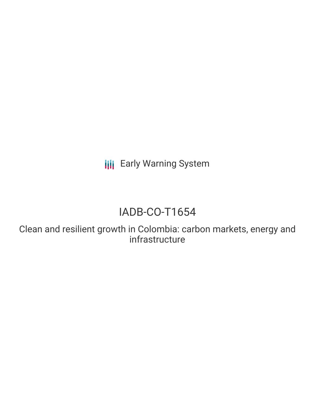**III** Early Warning System

# IADB-CO-T1654

Clean and resilient growth in Colombia: carbon markets, energy and infrastructure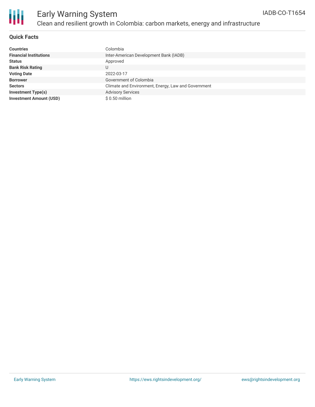

### **Quick Facts**

| <b>Countries</b>               | Colombia                                            |
|--------------------------------|-----------------------------------------------------|
| <b>Financial Institutions</b>  | Inter-American Development Bank (IADB)              |
| <b>Status</b>                  | Approved                                            |
| <b>Bank Risk Rating</b>        | U                                                   |
| <b>Voting Date</b>             | 2022-03-17                                          |
| <b>Borrower</b>                | Government of Colombia                              |
| <b>Sectors</b>                 | Climate and Environment, Energy, Law and Government |
| <b>Investment Type(s)</b>      | <b>Advisory Services</b>                            |
| <b>Investment Amount (USD)</b> | $$0.50$ million                                     |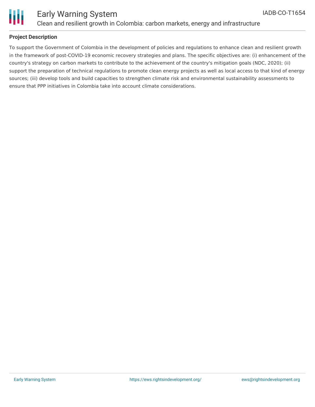



## Early Warning System Clean and resilient growth in Colombia: carbon markets, energy and infrastructure

### **Project Description**

To support the Government of Colombia in the development of policies and regulations to enhance clean and resilient growth in the framework of post-COVID-19 economic recovery strategies and plans. The specific objectives are: (i) enhancement of the country's strategy on carbon markets to contribute to the achievement of the country's mitigation goals (NDC, 2020); (ii) support the preparation of technical regulations to promote clean energy projects as well as local access to that kind of energy sources; (iii) develop tools and build capacities to strengthen climate risk and environmental sustainability assessments to ensure that PPP initiatives in Colombia take into account climate considerations.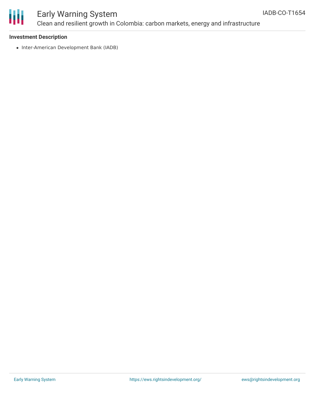

# Early Warning System Clean and resilient growth in Colombia: carbon markets, energy and infrastructure

### **Investment Description**

• Inter-American Development Bank (IADB)